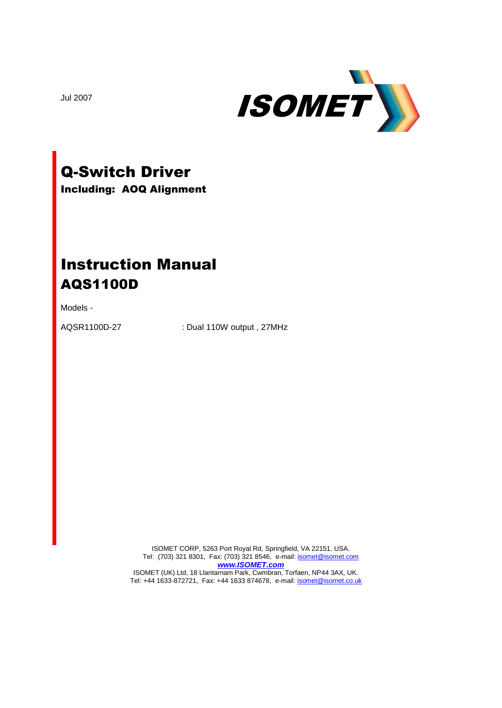

Jul 2007

# Q-Switch Driver

Including: AOQ Alignment

## Instruction Manual AQS1100D

Models -

AQSR1100D-27 : Dual 110W output , 27MHz

ISOMET CORP, 5263 Port Royal Rd, Springfield, VA 22151, USA. Tel: (703) 321 8301, Fax: (703) 321 8546, e-mail[: isomet@isomet.com](mailto:isomet@isomet.com) *[www.ISOMET.com](http://www.isomet.com/)* ISOMET (UK) Ltd, 18 Llantarnam Park, Cwmbran, Torfaen, NP44 3AX, UK. Tel: +44 1633-872721, Fax: +44 1633 874678, e-mail: *[isomet@isomet.co.uk](mailto:isomet@isomet.co.uk)*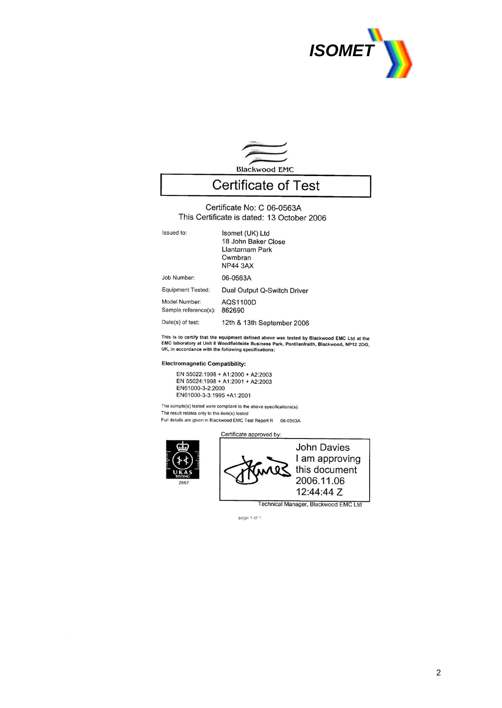



### **Certificate of Test**

Certificate No: C 06-0563A This Certificate is dated: 13 October 2006

| Issued to:                            | Isomet (UK) Ltd<br>18 John Baker Close<br>Llantarnam Park<br>Cwmbran<br><b>NP44 3AX</b> |
|---------------------------------------|-----------------------------------------------------------------------------------------|
| Job Number:                           | 06-0563A                                                                                |
| <b>Equipment Tested:</b>              | Dual Output Q-Switch Driver                                                             |
| Model Number:<br>Sample reference(s): | AQS1100D<br>862690                                                                      |
| Date(s) of test:                      | 12th & 13th September 2006                                                              |

This is to certify that the equipment defined above was tested by Blackwood EMC Ltd at the<br>EMC laboratory at Unit 8 Woodfieldside Business Park, Pontllanfraith, Blackwood, NP12 2DG, UK, in accordance with the following specifications:

#### **Electromagnetic Compatibility:**

EN 55022:1998 + A1:2000 + A2:2003 EN 55024:1998 + A1:2000 + A2:2003 EN61000-3-2:2000 EN61000-3-3:1995 +A1:2001

The sample(s) tested were compliant to the above specifications(s).

The result relates only to the item(s) tested

Full details are given in Blackwood EMC Test Report R 06-0563A





Technical Manager, Blackwood EMC Ltd

page 1 of 1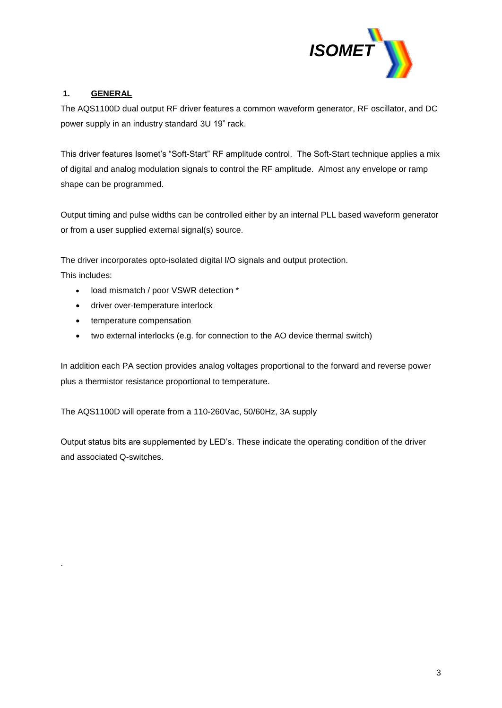

#### **1. GENERAL**

The AQS1100D dual output RF driver features a common waveform generator, RF oscillator, and DC power supply in an industry standard 3U 19" rack.

This driver features Isomet's "Soft-Start" RF amplitude control. The Soft-Start technique applies a mix of digital and analog modulation signals to control the RF amplitude. Almost any envelope or ramp shape can be programmed.

Output timing and pulse widths can be controlled either by an internal PLL based waveform generator or from a user supplied external signal(s) source.

The driver incorporates opto-isolated digital I/O signals and output protection.

This includes:

.

- load mismatch / poor VSWR detection \*
- driver over-temperature interlock
- temperature compensation
- two external interlocks (e.g. for connection to the AO device thermal switch)

In addition each PA section provides analog voltages proportional to the forward and reverse power plus a thermistor resistance proportional to temperature.

The AQS1100D will operate from a 110-260Vac, 50/60Hz, 3A supply

Output status bits are supplemented by LED's. These indicate the operating condition of the driver and associated Q-switches.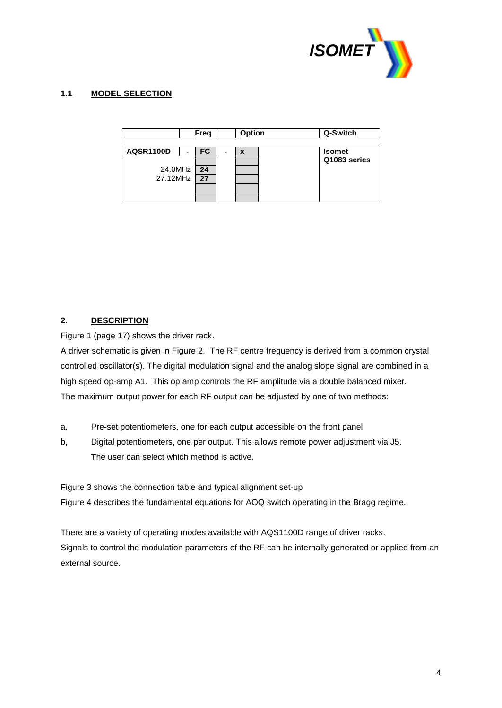

#### **1.1 MODEL SELECTION**

|                     | Freq      |   | <b>Option</b> | Q-Switch      |
|---------------------|-----------|---|---------------|---------------|
| <b>AQSR1100D</b>    | <b>FC</b> | - | X             | <b>Isomet</b> |
| 24.0MHz<br>27.12MHz | 24<br>27  |   |               | Q1083 series  |

#### **2. DESCRIPTION**

Figure 1 (page 17) shows the driver rack.

A driver schematic is given in Figure 2. The RF centre frequency is derived from a common crystal controlled oscillator(s). The digital modulation signal and the analog slope signal are combined in a high speed op-amp A1. This op amp controls the RF amplitude via a double balanced mixer. The maximum output power for each RF output can be adjusted by one of two methods:

- a, Pre-set potentiometers, one for each output accessible on the front panel
- b, Digital potentiometers, one per output. This allows remote power adjustment via J5. The user can select which method is active.

Figure 3 shows the connection table and typical alignment set-up Figure 4 describes the fundamental equations for AOQ switch operating in the Bragg regime.

There are a variety of operating modes available with AQS1100D range of driver racks. Signals to control the modulation parameters of the RF can be internally generated or applied from an external source.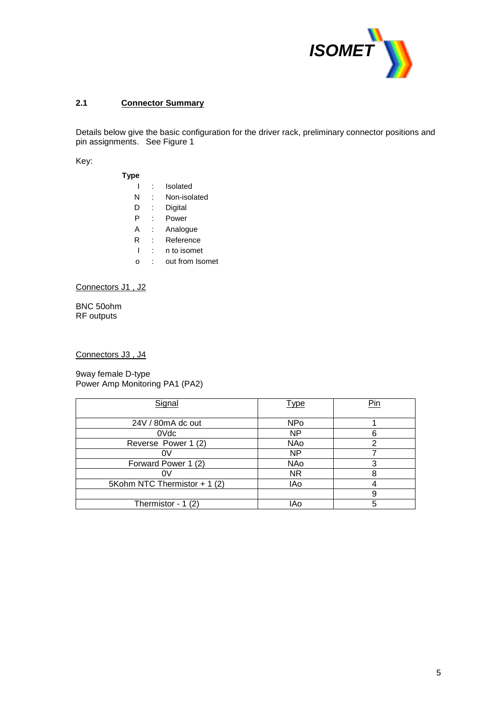

#### **2.1 Connector Summary**

Details below give the basic configuration for the driver rack, preliminary connector positions and pin assignments. See Figure 1

Key:

| Type |                 |
|------|-----------------|
|      | Isolated        |
| N    | Non-isolated    |
| D    | Digital         |
| P    | Power           |
| А    | Analogue        |
| R    | Reference       |
|      | n to isomet     |
|      | out from Isomet |

Connectors J1 , J2

BNC 50ohm RF outputs

Connectors J3 , J4

9way female D-type Power Amp Monitoring PA1 (PA2)

| Signal                       | <b>Type</b> | Pin |
|------------------------------|-------------|-----|
| 24V / 80mA dc out            | <b>NPo</b>  |     |
| 0Vdc                         | <b>NP</b>   | 6   |
| Reverse Power 1 (2)          | NAo         | 2   |
| 0V                           | <b>NP</b>   |     |
| Forward Power 1 (2)          | NAo         | 3   |
| ΩV                           | NR.         | 8   |
| 5Kohm NTC Thermistor + 1 (2) | IAo         |     |
|                              |             | 9   |
| Thermistor - $1(2)$          | IAo         | 5   |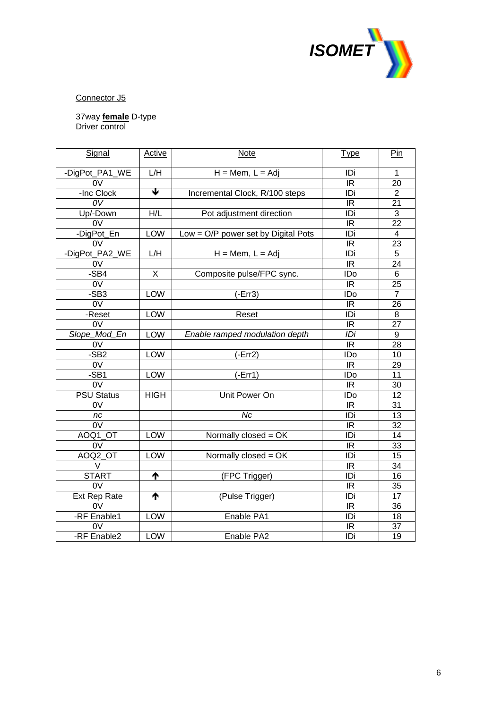

Connector J5

37way **female** D-type Driver control

| Signal                            | <b>Active</b> | <b>Note</b>                         | <b>Type</b>              | Pin                      |
|-----------------------------------|---------------|-------------------------------------|--------------------------|--------------------------|
|                                   |               |                                     |                          |                          |
| -DigPot_PA1_WE                    | L/H           | $H = Mem, L = Adj$                  | IDi                      | $\mathbf{1}$             |
| $\overline{ov}$                   |               |                                     | $\overline{\mathsf{IR}}$ | 20                       |
| -Inc Clock                        | ₩             | Incremental Clock, R/100 steps      | IDi                      | $\overline{2}$           |
| $\overline{\overline{\text{ov}}}$ |               |                                     | IR                       | 21                       |
| Up/-Down                          | H/L           | Pot adjustment direction            | IDi                      | $\overline{3}$           |
| 0V                                |               |                                     | IR                       | 22                       |
| -DigPot_En                        | LOW           | Low = O/P power set by Digital Pots | IDi                      | $\overline{\mathcal{A}}$ |
| 0V                                |               |                                     | IR                       | 23                       |
| -DigPot_PA2_WE                    | L/H           | $H = Mem, L = Adj$                  | $\overline{ID}$          | $\overline{5}$           |
| 0V                                |               |                                     | $\overline{\mathbb{R}}$  | $\overline{24}$          |
| -SB4                              | X             | Composite pulse/FPC sync.           | IDo                      | 6                        |
| 0V                                |               |                                     | $\overline{\mathbb{R}}$  | 25                       |
| $-SB3$                            | <b>LOW</b>    | $(-Err3)$                           | <b>IDo</b>               | $\overline{7}$           |
| $\overline{0V}$                   |               |                                     | IR.                      | 26                       |
| -Reset                            | <b>LOW</b>    | Reset                               | IDi                      | 8                        |
| $\overline{0V}$                   |               |                                     | IR                       | 27                       |
| Slope_Mod_En                      | <b>LOW</b>    | Enable ramped modulation depth      | IDi                      | 9                        |
| 0V                                |               |                                     | IR                       | 28                       |
| -SB <sub>2</sub>                  | LOW           | $(-Err2)$                           | IDo                      | 10                       |
| 0V                                |               |                                     | $\overline{\mathbb{R}}$  | 29                       |
| -SB1                              | LOW           | $(-Err1)$                           | IDo                      | 11                       |
| 0V                                |               |                                     | <b>IR</b>                | 30                       |
| <b>PSU Status</b>                 | <b>HIGH</b>   | Unit Power On                       | ID <sub>o</sub>          | $\overline{12}$          |
| 0V                                |               |                                     | IR                       | 31                       |
| nc                                |               | $\overline{Nc}$                     | IDi                      | 13                       |
| $\overline{0V}$                   |               |                                     | <b>IR</b>                | 32                       |
| AOQ1_OT                           | LOW           | Normally closed = OK                | IDi                      | 14                       |
| 0V                                |               |                                     | <b>IR</b>                | 33                       |
| AOQ2 OT                           | <b>LOW</b>    | Normally closed = OK                | IDi                      | 15                       |
| $\vee$                            |               |                                     | IR.                      | 34                       |
| <b>START</b>                      | ተ             | (FPC Trigger)                       | IDi                      | 16                       |
| $\overline{0V}$                   |               |                                     | IR                       | 35                       |
| Ext Rep Rate                      | ↑             | (Pulse Trigger)                     | IDi                      | 17                       |
| 0V                                |               |                                     | IR                       | 36                       |
| -RF Enable1                       | LOW           | Enable PA1                          | $\overline{ID}$          | 18                       |
| 0V                                |               |                                     | IR                       | 37                       |
| -RF Enable2                       | <b>LOW</b>    | Enable PA2                          | IDi                      | $\overline{19}$          |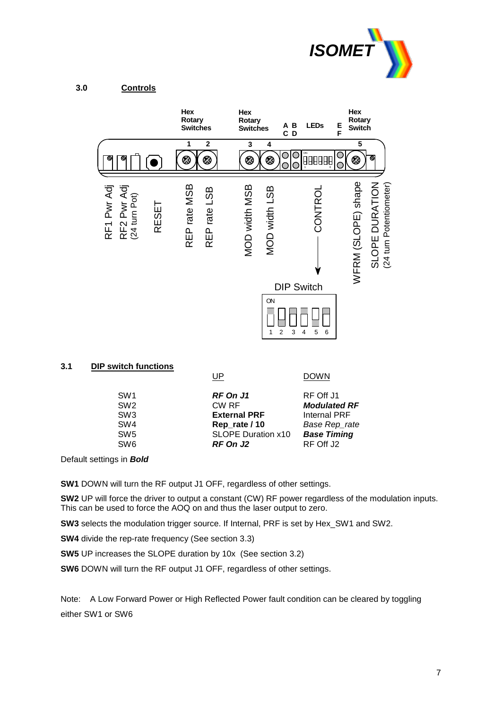



#### **3.1 DIP switch functions**

SW6 **RF On J2** RF Off J2

UP DOWN SW1 **RF On J1** RF Off J1<br>SW2 CW RF **Modulate Modulated RF** SW3 **External PRF** Internal PRF SW4 **Rep\_rate / 10** *Base Rep\_rate* SW5 SLOPE Duration x10 *Base Timing*

Default settings in *Bold*

**SW1** DOWN will turn the RF output J1 OFF, regardless of other settings.

**SW2** UP will force the driver to output a constant (CW) RF power regardless of the modulation inputs. This can be used to force the AOQ on and thus the laser output to zero.

**SW3** selects the modulation trigger source. If Internal, PRF is set by Hex\_SW1 and SW2.

**SW4** divide the rep-rate frequency (See section 3.3)

**SW5** UP increases the SLOPE duration by 10x (See section 3.2)

**SW6** DOWN will turn the RF output J1 OFF, regardless of other settings.

Note: A Low Forward Power or High Reflected Power fault condition can be cleared by toggling either SW1 or SW6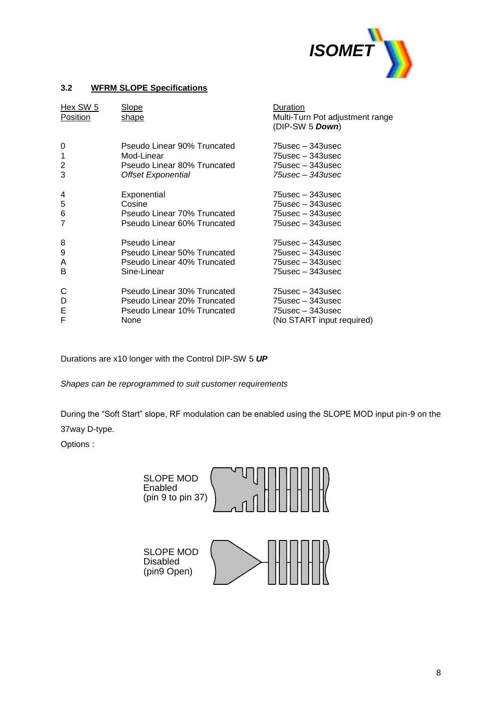

#### **3.2 WFRM SLOPE Specifications**

| Hex SW 5<br>Position | <b>Slope</b><br>shape       | Duration<br>Multi-Turn Pot adjustment range<br>(DIP-SW 5 Down) |
|----------------------|-----------------------------|----------------------------------------------------------------|
| 0                    | Pseudo Linear 90% Truncated | 75usec – 343usec                                               |
| 1                    | Mod-Linear                  | 75usec – 343usec                                               |
| $\overline{2}$       | Pseudo Linear 80% Truncated | 75usec - 343usec                                               |
| 3                    | Offset Exponential          | 75usec - 343usec                                               |
| 4                    | Exponential                 | 75usec – 343usec                                               |
| 5                    | Cosine                      | 75usec – 343usec                                               |
| 6                    | Pseudo Linear 70% Truncated | 75usec - 343usec                                               |
| 7                    | Pseudo Linear 60% Truncated | 75usec – 343usec                                               |
| 8                    | Pseudo Linear               | 75usec – 343usec                                               |
| 9                    | Pseudo Linear 50% Truncated | $75$ usec – 343usec                                            |
| A                    | Pseudo Linear 40% Truncated | $75$ usec – 343usec                                            |
| B                    | Sine-Linear                 | 75usec – 343usec                                               |
| C                    | Pseudo Linear 30% Truncated | $75$ usec – 343usec                                            |
| D                    | Pseudo Linear 20% Truncated | 75usec - 343usec                                               |
| E                    | Pseudo Linear 10% Truncated | 75usec - 343usec                                               |
| F                    | None                        | (No START input required)                                      |

Durations are x10 longer with the Control DIP-SW 5 *UP*

*Shapes can be reprogrammed to suit customer requirements*

During the "Soft Start" slope, RF modulation can be enabled using the SLOPE MOD input pin-9 on the 37way D-type.

Options :

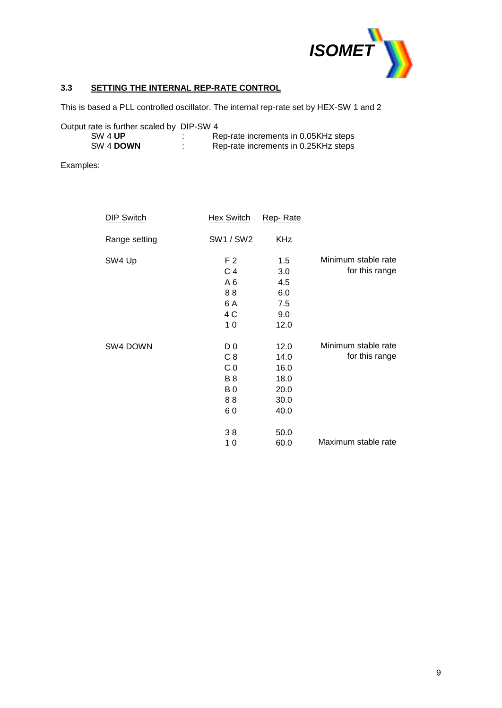

#### **3.3 SETTING THE INTERNAL REP-RATE CONTROL**

This is based a PLL controlled oscillator. The internal rep-rate set by HEX-SW 1 and 2

| Output rate is further scaled by DIP-SW 4 |                                      |
|-------------------------------------------|--------------------------------------|
| SW 4 UP                                   | Rep-rate increments in 0.05KHz steps |
| SW 4 DOWN                                 | Rep-rate increments in 0.25KHz steps |

Examples:

| <b>DIP Switch</b> | <b>Hex Switch</b> | Rep-Rate   |                     |
|-------------------|-------------------|------------|---------------------|
| Range setting     | <b>SW1/SW2</b>    | <b>KHz</b> |                     |
| SW4 Up            | F <sub>2</sub>    | 1.5        | Minimum stable rate |
|                   | C 4               | 3.0        | for this range      |
|                   | A6                | 4.5        |                     |
|                   | 88                | 6.0        |                     |
|                   | 6 A               | 7.5        |                     |
|                   | 4 C               | 9.0        |                     |
|                   | 10                | 12.0       |                     |
| SW4 DOWN          | D <sub>0</sub>    | 12.0       | Minimum stable rate |
|                   | C <sub>8</sub>    | 14.0       | for this range      |
|                   | C <sub>0</sub>    | 16.0       |                     |
|                   | <b>B</b> 8        | 18.0       |                     |
|                   | B <sub>0</sub>    | 20.0       |                     |
|                   | 88                | 30.0       |                     |
|                   | 60                | 40.0       |                     |
|                   | 38                | 50.0       |                     |
|                   | 10                | 60.0       | Maximum stable rate |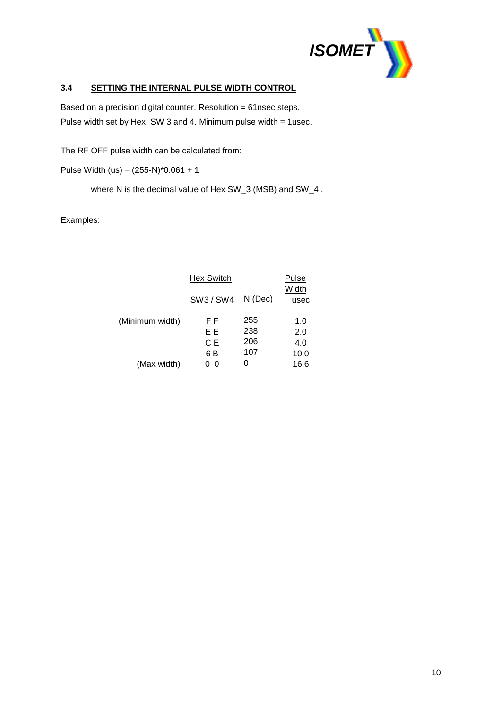

#### **3.4 SETTING THE INTERNAL PULSE WIDTH CONTROL**

Based on a precision digital counter. Resolution = 61nsec steps. Pulse width set by Hex\_SW 3 and 4. Minimum pulse width = 1usec.

The RF OFF pulse width can be calculated from:

Pulse Width (us) = (255-N)\*0.061 + 1

where N is the decimal value of Hex SW\_3 (MSB) and SW\_4 .

#### Examples:

|                 | <b>Hex Switch</b> |           | Pulse         |
|-----------------|-------------------|-----------|---------------|
|                 | SW3 / SW4         | $N$ (Dec) | Width<br>usec |
| (Minimum width) | F F               | 255       | 1.0           |
|                 | ΕE                | 238       | 2.0           |
|                 | C E               | 206       | 4.0           |
|                 | 6 B               | 107       | 10.0          |
| (Max width)     | 0                 |           | 16.6          |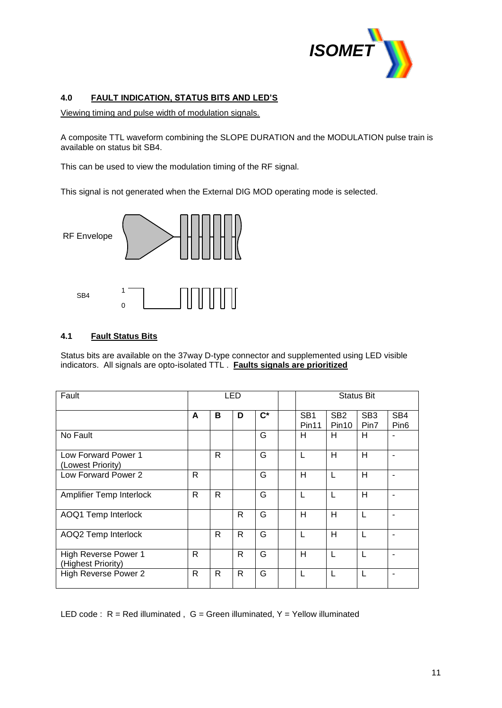

#### **4.0 FAULT INDICATION, STATUS BITS AND LED'S**

Viewing timing and pulse width of modulation signals.

A composite TTL waveform combining the SLOPE DURATION and the MODULATION pulse train is available on status bit SB4.

This can be used to view the modulation timing of the RF signal.

This signal is not generated when the External DIG MOD operating mode is selected.



#### **4.1 Fault Status Bits**

Status bits are available on the 37way D-type connector and supplemented using LED visible indicators. All signals are opto-isolated TTL . **Faults signals are prioritized**

| Fault                                      | LED          |   |    | <b>Status Bit</b>  |                                      |                          |                         |                         |
|--------------------------------------------|--------------|---|----|--------------------|--------------------------------------|--------------------------|-------------------------|-------------------------|
|                                            | A            | в | D  | $\mathsf{C}^\star$ | SB <sub>1</sub><br>Pin <sub>11</sub> | SB <sub>2</sub><br>Pin10 | SB <sub>3</sub><br>Pin7 | SB4<br>Pin <sub>6</sub> |
| No Fault                                   |              |   |    | G                  | H                                    | н                        | н                       | $\blacksquare$          |
| Low Forward Power 1<br>(Lowest Priority)   |              | R |    | G                  | L                                    | H                        | Н                       | $\blacksquare$          |
| Low Forward Power 2                        | $\mathsf{R}$ |   |    | G                  | H                                    | L                        | H                       |                         |
| <b>Amplifier Temp Interlock</b>            | R            | R |    | G                  | L                                    |                          | Н                       |                         |
| AOQ1 Temp Interlock                        |              |   | R  | G                  | H                                    | H                        | L                       | $\blacksquare$          |
| AOQ2 Temp Interlock                        |              | R | R  | G                  | L                                    | H                        | L                       | ۰                       |
| High Reverse Power 1<br>(Highest Priority) | R            |   | R. | G                  | H                                    |                          | L                       |                         |
| <b>High Reverse Power 2</b>                | R            | R | R. | G                  | L                                    |                          | L                       | ۰                       |

LED code :  $R = Red$  illuminated,  $G = Green$  illuminated,  $Y = Yellow$  illuminated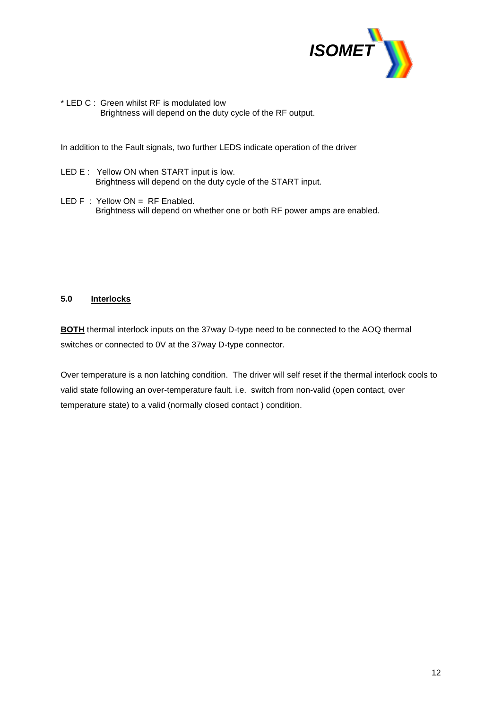

\* LED C : Green whilst RF is modulated low Brightness will depend on the duty cycle of the RF output.

In addition to the Fault signals, two further LEDS indicate operation of the driver

- LED E : Yellow ON when START input is low. Brightness will depend on the duty cycle of the START input.
- LED F : Yellow ON = RF Enabled. Brightness will depend on whether one or both RF power amps are enabled.

#### **5.0 Interlocks**

**BOTH** thermal interlock inputs on the 37way D-type need to be connected to the AOQ thermal switches or connected to 0V at the 37way D-type connector.

Over temperature is a non latching condition. The driver will self reset if the thermal interlock cools to valid state following an over-temperature fault. i.e. switch from non-valid (open contact, over temperature state) to a valid (normally closed contact ) condition.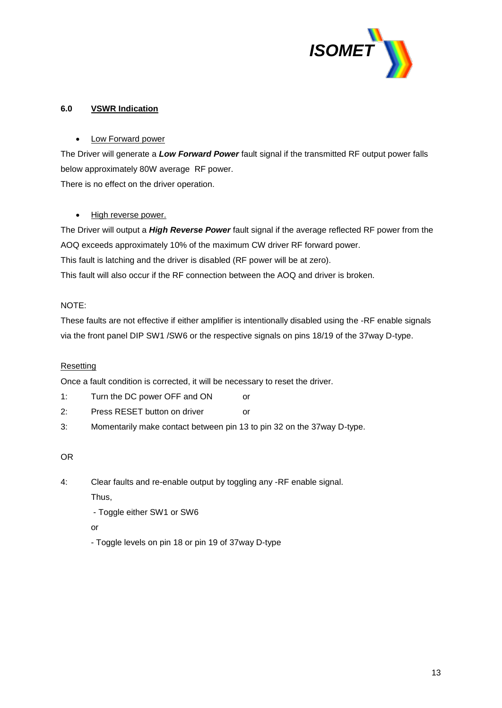

#### **6.0 VSWR Indication**

#### Low Forward power

The Driver will generate a *Low Forward Power* fault signal if the transmitted RF output power falls below approximately 80W average RF power.

There is no effect on the driver operation.

#### • High reverse power.

The Driver will output a *High Reverse Power* fault signal if the average reflected RF power from the AOQ exceeds approximately 10% of the maximum CW driver RF forward power. This fault is latching and the driver is disabled (RF power will be at zero). This fault will also occur if the RF connection between the AOQ and driver is broken.

#### NOTE:

These faults are not effective if either amplifier is intentionally disabled using the -RF enable signals via the front panel DIP SW1 /SW6 or the respective signals on pins 18/19 of the 37way D-type.

### Resetting

Once a fault condition is corrected, it will be necessary to reset the driver.

- 1: Turn the DC power OFF and ON or
- 2: Press RESET button on driver or
- 3: Momentarily make contact between pin 13 to pin 32 on the 37way D-type.

#### OR

4: Clear faults and re-enable output by toggling any -RF enable signal.

Thus,

- Toggle either SW1 or SW6

or

- Toggle levels on pin 18 or pin 19 of 37way D-type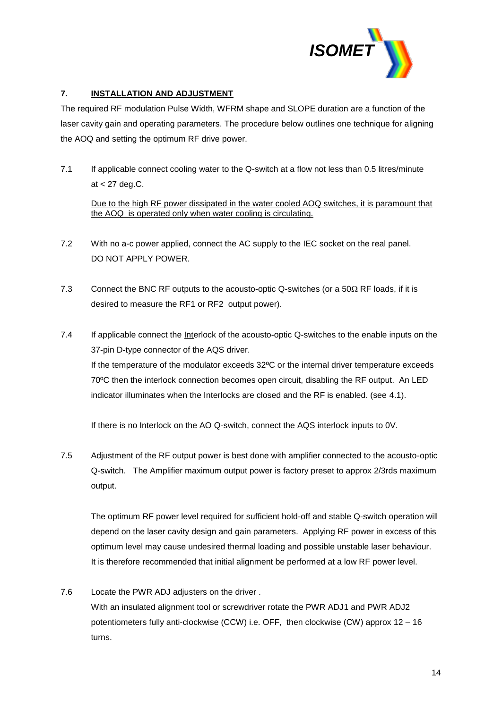

#### **7. INSTALLATION AND ADJUSTMENT**

The required RF modulation Pulse Width, WFRM shape and SLOPE duration are a function of the laser cavity gain and operating parameters. The procedure below outlines one technique for aligning the AOQ and setting the optimum RF drive power.

7.1 If applicable connect cooling water to the Q-switch at a flow not less than 0.5 litres/minute at < 27 deg.C.

Due to the high RF power dissipated in the water cooled AOQ switches, it is paramount that the AOQ is operated only when water cooling is circulating.

- 7.2 With no a-c power applied, connect the AC supply to the IEC socket on the real panel. DO NOT APPLY POWER.
- 7.3 Connect the BNC RF outputs to the acousto-optic Q-switches (or a  $50\Omega$  RF loads, if it is desired to measure the RF1 or RF2 output power).
- 7.4 If applicable connect the Interlock of the acousto-optic Q-switches to the enable inputs on the 37-pin D-type connector of the AQS driver. If the temperature of the modulator exceeds 32ºC or the internal driver temperature exceeds 70ºC then the interlock connection becomes open circuit, disabling the RF output. An LED indicator illuminates when the Interlocks are closed and the RF is enabled. (see 4.1).

If there is no Interlock on the AO Q-switch, connect the AQS interlock inputs to 0V.

7.5 Adjustment of the RF output power is best done with amplifier connected to the acousto-optic Q-switch. The Amplifier maximum output power is factory preset to approx 2/3rds maximum output.

The optimum RF power level required for sufficient hold-off and stable Q-switch operation will depend on the laser cavity design and gain parameters. Applying RF power in excess of this optimum level may cause undesired thermal loading and possible unstable laser behaviour. It is therefore recommended that initial alignment be performed at a low RF power level.

7.6 Locate the PWR ADJ adjusters on the driver . With an insulated alignment tool or screwdriver rotate the PWR ADJ1 and PWR ADJ2 potentiometers fully anti-clockwise (CCW) i.e. OFF, then clockwise (CW) approx 12 – 16 turns.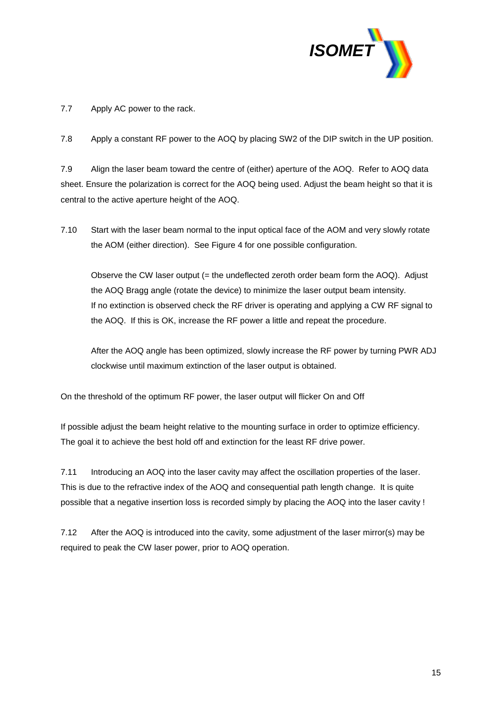

7.7 Apply AC power to the rack.

7.8 Apply a constant RF power to the AOQ by placing SW2 of the DIP switch in the UP position.

7.9 Align the laser beam toward the centre of (either) aperture of the AOQ. Refer to AOQ data sheet. Ensure the polarization is correct for the AOQ being used. Adjust the beam height so that it is central to the active aperture height of the AOQ.

7.10 Start with the laser beam normal to the input optical face of the AOM and very slowly rotate the AOM (either direction). See Figure 4 for one possible configuration.

Observe the CW laser output (= the undeflected zeroth order beam form the AOQ). Adjust the AOQ Bragg angle (rotate the device) to minimize the laser output beam intensity. If no extinction is observed check the RF driver is operating and applying a CW RF signal to the AOQ. If this is OK, increase the RF power a little and repeat the procedure.

After the AOQ angle has been optimized, slowly increase the RF power by turning PWR ADJ clockwise until maximum extinction of the laser output is obtained.

On the threshold of the optimum RF power, the laser output will flicker On and Off

If possible adjust the beam height relative to the mounting surface in order to optimize efficiency. The goal it to achieve the best hold off and extinction for the least RF drive power.

7.11 Introducing an AOQ into the laser cavity may affect the oscillation properties of the laser. This is due to the refractive index of the AOQ and consequential path length change. It is quite possible that a negative insertion loss is recorded simply by placing the AOQ into the laser cavity !

7.12 After the AOQ is introduced into the cavity, some adjustment of the laser mirror(s) may be required to peak the CW laser power, prior to AOQ operation.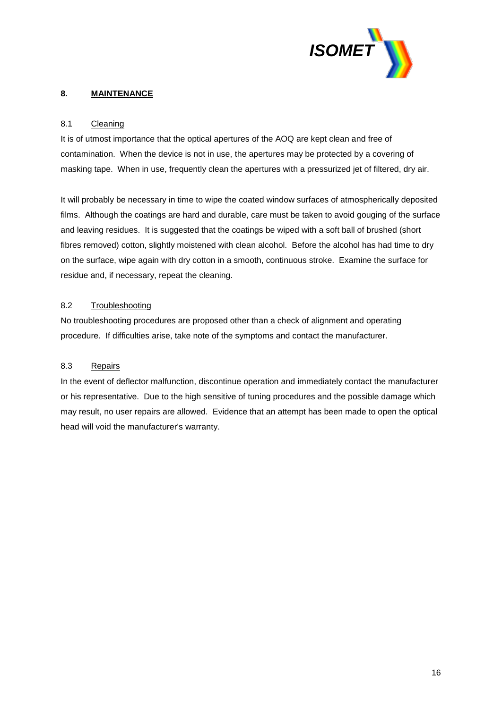

#### **8. MAINTENANCE**

#### 8.1 Cleaning

It is of utmost importance that the optical apertures of the AOQ are kept clean and free of contamination. When the device is not in use, the apertures may be protected by a covering of masking tape. When in use, frequently clean the apertures with a pressurized jet of filtered, dry air.

It will probably be necessary in time to wipe the coated window surfaces of atmospherically deposited films. Although the coatings are hard and durable, care must be taken to avoid gouging of the surface and leaving residues. It is suggested that the coatings be wiped with a soft ball of brushed (short fibres removed) cotton, slightly moistened with clean alcohol. Before the alcohol has had time to dry on the surface, wipe again with dry cotton in a smooth, continuous stroke. Examine the surface for residue and, if necessary, repeat the cleaning.

#### 8.2 Troubleshooting

No troubleshooting procedures are proposed other than a check of alignment and operating procedure. If difficulties arise, take note of the symptoms and contact the manufacturer.

#### 8.3 Repairs

In the event of deflector malfunction, discontinue operation and immediately contact the manufacturer or his representative. Due to the high sensitive of tuning procedures and the possible damage which may result, no user repairs are allowed. Evidence that an attempt has been made to open the optical head will void the manufacturer's warranty.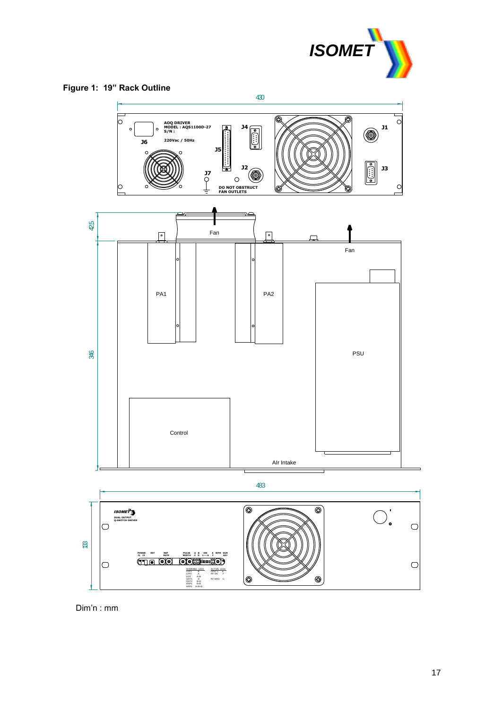





göoooo

ACTIVE LEDs FPST L E RF ON F RF MOD C

 $\circledcirc$ 

 $\circledcirc$ 

WARNING LEDs<br>LFP1 B<br>LFP2 A<br>DOT1 D<br>QOT1 B+D<br>HRP1 A+D<br>HRP1 A+D<br>HRP1 A+B+D

 **P0WER RST REP PULSE A B SW E WFM DUR J1 J2 RATE WIDTH C D 1----6 F ADJ**

Dim'n : mm

 $\overline{\bigcirc}$ 

 $\bigcirc$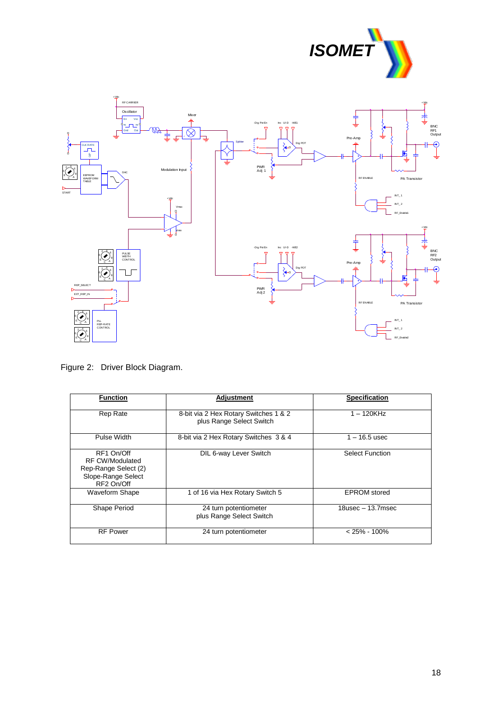



Figure 2: Driver Block Diagram.

| <b>Function</b>       | <b>Adjustment</b>                     | <b>Specification</b>   |
|-----------------------|---------------------------------------|------------------------|
|                       |                                       |                        |
| Rep Rate              | 8-bit via 2 Hex Rotary Switches 1 & 2 | $1 - 120$ KHz          |
|                       | plus Range Select Switch              |                        |
| Pulse Width           | 8-bit via 2 Hex Rotary Switches 3 & 4 | $1 - 16.5$ usec        |
| RF1 On/Off            | DIL 6-way Lever Switch                | <b>Select Function</b> |
| RF CW/Modulated       |                                       |                        |
| Rep-Range Select (2)  |                                       |                        |
| Slope-Range Select    |                                       |                        |
| RF2 On/Off            |                                       |                        |
| <b>Waveform Shape</b> | 1 of 16 via Hex Rotary Switch 5       | <b>EPROM</b> stored    |
| Shape Period          | 24 turn potentiometer                 | $18$ usec $-13.7$ msec |
|                       | plus Range Select Switch              |                        |
| <b>RF Power</b>       | 24 turn potentiometer                 | $< 25\% - 100\%$       |